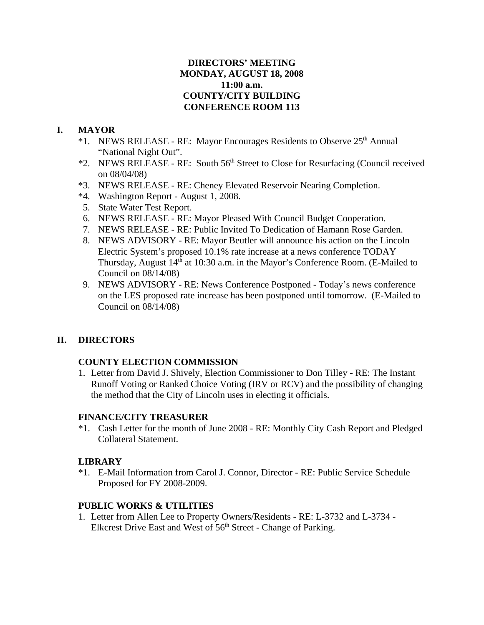# **DIRECTORS' MEETING MONDAY, AUGUST 18, 2008 11:00 a.m. COUNTY/CITY BUILDING CONFERENCE ROOM 113**

# **I. MAYOR**

- \*1. NEWS RELEASE RE: Mayor Encourages Residents to Observe 25<sup>th</sup> Annual "National Night Out".
- \*2. NEWS RELEASE RE: South 56<sup>th</sup> Street to Close for Resurfacing (Council received on 08/04/08)
- \*3. NEWS RELEASE RE: Cheney Elevated Reservoir Nearing Completion.
- \*4. Washington Report August 1, 2008.
- 5. State Water Test Report.
- 6. NEWS RELEASE RE: Mayor Pleased With Council Budget Cooperation.
- 7. NEWS RELEASE RE: Public Invited To Dedication of Hamann Rose Garden.
- 8. NEWS ADVISORY RE: Mayor Beutler will announce his action on the Lincoln Electric System's proposed 10.1% rate increase at a news conference TODAY Thursday, August 14<sup>th</sup> at 10:30 a.m. in the Mayor's Conference Room. (E-Mailed to Council on 08/14/08)
- 9. NEWS ADVISORY RE: News Conference Postponed Today's news conference on the LES proposed rate increase has been postponed until tomorrow. (E-Mailed to Council on 08/14/08)

# **II. DIRECTORS**

# **COUNTY ELECTION COMMISSION**

1. Letter from David J. Shively, Election Commissioner to Don Tilley - RE: The Instant Runoff Voting or Ranked Choice Voting (IRV or RCV) and the possibility of changing the method that the City of Lincoln uses in electing it officials.

## **FINANCE/CITY TREASURER**

\*1. Cash Letter for the month of June 2008 - RE: Monthly City Cash Report and Pledged Collateral Statement.

## **LIBRARY**

\*1. E-Mail Information from Carol J. Connor, Director - RE: Public Service Schedule Proposed for FY 2008-2009.

# **PUBLIC WORKS & UTILITIES**

1. Letter from Allen Lee to Property Owners/Residents - RE: L-3732 and L-3734 - Elkcrest Drive East and West of 56<sup>th</sup> Street - Change of Parking.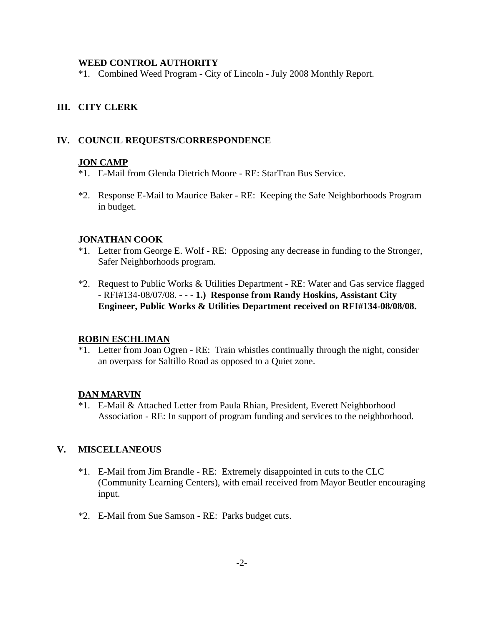### **WEED CONTROL AUTHORITY**

\*1. Combined Weed Program - City of Lincoln - July 2008 Monthly Report.

# **III. CITY CLERK**

## **IV. COUNCIL REQUESTS/CORRESPONDENCE**

### **JON CAMP**

- \*1. E-Mail from Glenda Dietrich Moore RE: StarTran Bus Service.
- \*2. Response E-Mail to Maurice Baker RE: Keeping the Safe Neighborhoods Program in budget.

### **JONATHAN COOK**

- \*1. Letter from George E. Wolf RE: Opposing any decrease in funding to the Stronger, Safer Neighborhoods program.
- \*2. Request to Public Works & Utilities Department RE: Water and Gas service flagged - RFI#134-08/07/08. - - - **1.) Response from Randy Hoskins, Assistant City Engineer, Public Works & Utilities Department received on RFI#134-08/08/08.**

### **ROBIN ESCHLIMAN**

\*1. Letter from Joan Ogren - RE: Train whistles continually through the night, consider an overpass for Saltillo Road as opposed to a Quiet zone.

## **DAN MARVIN**

\*1. E-Mail & Attached Letter from Paula Rhian, President, Everett Neighborhood Association - RE: In support of program funding and services to the neighborhood.

## **V. MISCELLANEOUS**

- \*1. E-Mail from Jim Brandle RE: Extremely disappointed in cuts to the CLC (Community Learning Centers), with email received from Mayor Beutler encouraging input.
- \*2. E-Mail from Sue Samson RE: Parks budget cuts.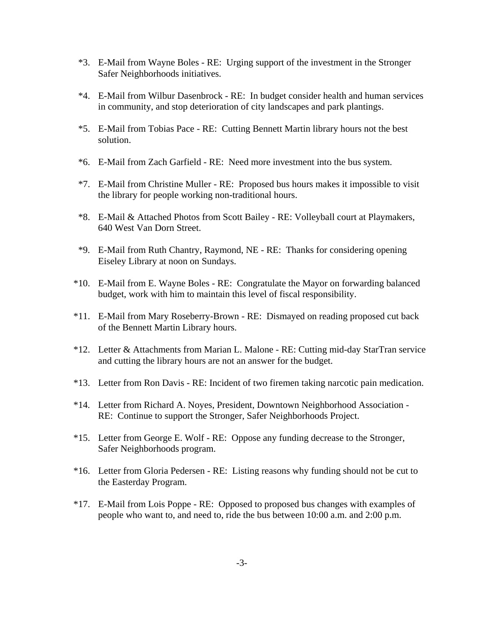- \*3. E-Mail from Wayne Boles RE: Urging support of the investment in the Stronger Safer Neighborhoods initiatives.
- \*4. E-Mail from Wilbur Dasenbrock RE: In budget consider health and human services in community, and stop deterioration of city landscapes and park plantings.
- \*5. E-Mail from Tobias Pace RE: Cutting Bennett Martin library hours not the best solution.
- \*6. E-Mail from Zach Garfield RE: Need more investment into the bus system.
- \*7. E-Mail from Christine Muller RE: Proposed bus hours makes it impossible to visit the library for people working non-traditional hours.
- \*8. E-Mail & Attached Photos from Scott Bailey RE: Volleyball court at Playmakers, 640 West Van Dorn Street.
- \*9. E-Mail from Ruth Chantry, Raymond, NE RE: Thanks for considering opening Eiseley Library at noon on Sundays.
- \*10. E-Mail from E. Wayne Boles RE: Congratulate the Mayor on forwarding balanced budget, work with him to maintain this level of fiscal responsibility.
- \*11. E-Mail from Mary Roseberry-Brown RE: Dismayed on reading proposed cut back of the Bennett Martin Library hours.
- \*12. Letter & Attachments from Marian L. Malone RE: Cutting mid-day StarTran service and cutting the library hours are not an answer for the budget.
- \*13. Letter from Ron Davis RE: Incident of two firemen taking narcotic pain medication.
- \*14. Letter from Richard A. Noyes, President, Downtown Neighborhood Association RE: Continue to support the Stronger, Safer Neighborhoods Project.
- \*15. Letter from George E. Wolf RE: Oppose any funding decrease to the Stronger, Safer Neighborhoods program.
- \*16. Letter from Gloria Pedersen RE: Listing reasons why funding should not be cut to the Easterday Program.
- \*17. E-Mail from Lois Poppe RE: Opposed to proposed bus changes with examples of people who want to, and need to, ride the bus between 10:00 a.m. and 2:00 p.m.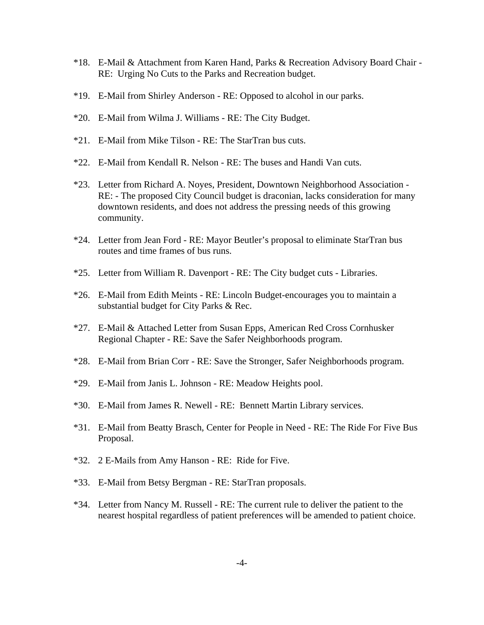- \*18. E-Mail & Attachment from Karen Hand, Parks & Recreation Advisory Board Chair RE: Urging No Cuts to the Parks and Recreation budget.
- \*19. E-Mail from Shirley Anderson RE: Opposed to alcohol in our parks.
- \*20. E-Mail from Wilma J. Williams RE: The City Budget.
- \*21. E-Mail from Mike Tilson RE: The StarTran bus cuts.
- \*22. E-Mail from Kendall R. Nelson RE: The buses and Handi Van cuts.
- \*23. Letter from Richard A. Noyes, President, Downtown Neighborhood Association RE: - The proposed City Council budget is draconian, lacks consideration for many downtown residents, and does not address the pressing needs of this growing community.
- \*24. Letter from Jean Ford RE: Mayor Beutler's proposal to eliminate StarTran bus routes and time frames of bus runs.
- \*25. Letter from William R. Davenport RE: The City budget cuts Libraries.
- \*26. E-Mail from Edith Meints RE: Lincoln Budget-encourages you to maintain a substantial budget for City Parks & Rec.
- \*27. E-Mail & Attached Letter from Susan Epps, American Red Cross Cornhusker Regional Chapter - RE: Save the Safer Neighborhoods program.
- \*28. E-Mail from Brian Corr RE: Save the Stronger, Safer Neighborhoods program.
- \*29. E-Mail from Janis L. Johnson RE: Meadow Heights pool.
- \*30. E-Mail from James R. Newell RE: Bennett Martin Library services.
- \*31. E-Mail from Beatty Brasch, Center for People in Need RE: The Ride For Five Bus Proposal.
- \*32. 2 E-Mails from Amy Hanson RE: Ride for Five.
- \*33. E-Mail from Betsy Bergman RE: StarTran proposals.
- \*34. Letter from Nancy M. Russell RE: The current rule to deliver the patient to the nearest hospital regardless of patient preferences will be amended to patient choice.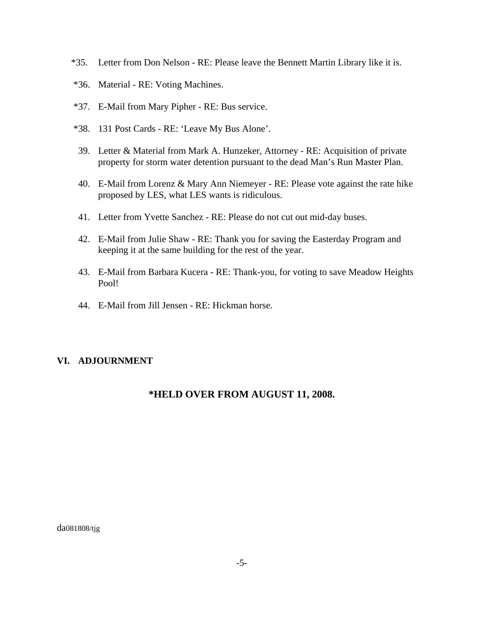- \*35. Letter from Don Nelson RE: Please leave the Bennett Martin Library like it is.
- \*36. Material RE: Voting Machines.
- \*37. E-Mail from Mary Pipher RE: Bus service.
- \*38. 131 Post Cards RE: 'Leave My Bus Alone'.
- 39. Letter & Material from Mark A. Hunzeker, Attorney RE: Acquisition of private property for storm water detention pursuant to the dead Man's Run Master Plan.
- 40. E-Mail from Lorenz & Mary Ann Niemeyer RE: Please vote against the rate hike proposed by LES, what LES wants is ridiculous.
- 41. Letter from Yvette Sanchez RE: Please do not cut out mid-day buses.
- 42. E-Mail from Julie Shaw RE: Thank you for saving the Easterday Program and keeping it at the same building for the rest of the year.
- 43. E-Mail from Barbara Kucera RE: Thank-you, for voting to save Meadow Heights Pool!
- 44. E-Mail from Jill Jensen RE: Hickman horse.

## **VI. ADJOURNMENT**

# **\*HELD OVER FROM AUGUST 11, 2008.**

da081808/tjg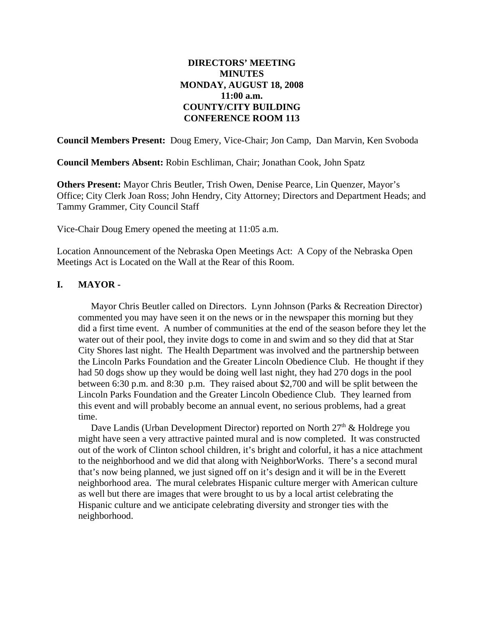# **DIRECTORS' MEETING MINUTES MONDAY, AUGUST 18, 2008 11:00 a.m. COUNTY/CITY BUILDING CONFERENCE ROOM 113**

**Council Members Present:** Doug Emery, Vice-Chair; Jon Camp, Dan Marvin, Ken Svoboda

**Council Members Absent:** Robin Eschliman, Chair; Jonathan Cook, John Spatz

**Others Present:** Mayor Chris Beutler, Trish Owen, Denise Pearce, Lin Quenzer, Mayor's Office; City Clerk Joan Ross; John Hendry, City Attorney; Directors and Department Heads; and Tammy Grammer, City Council Staff

Vice-Chair Doug Emery opened the meeting at 11:05 a.m.

Location Announcement of the Nebraska Open Meetings Act: A Copy of the Nebraska Open Meetings Act is Located on the Wall at the Rear of this Room.

## **I. MAYOR -**

Mayor Chris Beutler called on Directors. Lynn Johnson (Parks & Recreation Director) commented you may have seen it on the news or in the newspaper this morning but they did a first time event. A number of communities at the end of the season before they let the water out of their pool, they invite dogs to come in and swim and so they did that at Star City Shores last night. The Health Department was involved and the partnership between the Lincoln Parks Foundation and the Greater Lincoln Obedience Club. He thought if they had 50 dogs show up they would be doing well last night, they had 270 dogs in the pool between 6:30 p.m. and 8:30 p.m. They raised about \$2,700 and will be split between the Lincoln Parks Foundation and the Greater Lincoln Obedience Club. They learned from this event and will probably become an annual event, no serious problems, had a great time.

Dave Landis (Urban Development Director) reported on North  $27<sup>th</sup>$  & Holdrege you might have seen a very attractive painted mural and is now completed. It was constructed out of the work of Clinton school children, it's bright and colorful, it has a nice attachment to the neighborhood and we did that along with NeighborWorks. There's a second mural that's now being planned, we just signed off on it's design and it will be in the Everett neighborhood area. The mural celebrates Hispanic culture merger with American culture as well but there are images that were brought to us by a local artist celebrating the Hispanic culture and we anticipate celebrating diversity and stronger ties with the neighborhood.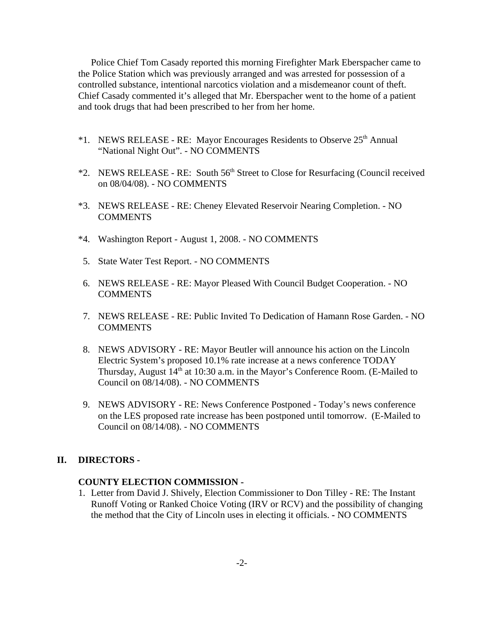Police Chief Tom Casady reported this morning Firefighter Mark Eberspacher came to the Police Station which was previously arranged and was arrested for possession of a controlled substance, intentional narcotics violation and a misdemeanor count of theft. Chief Casady commented it's alleged that Mr. Eberspacher went to the home of a patient and took drugs that had been prescribed to her from her home.

- \*1. NEWS RELEASE RE: Mayor Encourages Residents to Observe 25th Annual "National Night Out". - NO COMMENTS
- \*2. NEWS RELEASE RE: South 56th Street to Close for Resurfacing (Council received on 08/04/08). - NO COMMENTS
- \*3. NEWS RELEASE RE: Cheney Elevated Reservoir Nearing Completion. NO COMMENTS
- \*4. Washington Report August 1, 2008. NO COMMENTS
- 5. State Water Test Report. NO COMMENTS
- 6. NEWS RELEASE RE: Mayor Pleased With Council Budget Cooperation. NO COMMENTS
- 7. NEWS RELEASE RE: Public Invited To Dedication of Hamann Rose Garden. NO **COMMENTS**
- 8. NEWS ADVISORY RE: Mayor Beutler will announce his action on the Lincoln Electric System's proposed 10.1% rate increase at a news conference TODAY Thursday, August 14<sup>th</sup> at 10:30 a.m. in the Mayor's Conference Room. (E-Mailed to Council on 08/14/08). - NO COMMENTS
- 9. NEWS ADVISORY RE: News Conference Postponed Today's news conference on the LES proposed rate increase has been postponed until tomorrow. (E-Mailed to Council on 08/14/08). - NO COMMENTS

### **II. DIRECTORS -**

### **COUNTY ELECTION COMMISSION -**

1. Letter from David J. Shively, Election Commissioner to Don Tilley - RE: The Instant Runoff Voting or Ranked Choice Voting (IRV or RCV) and the possibility of changing the method that the City of Lincoln uses in electing it officials. **-** NO COMMENTS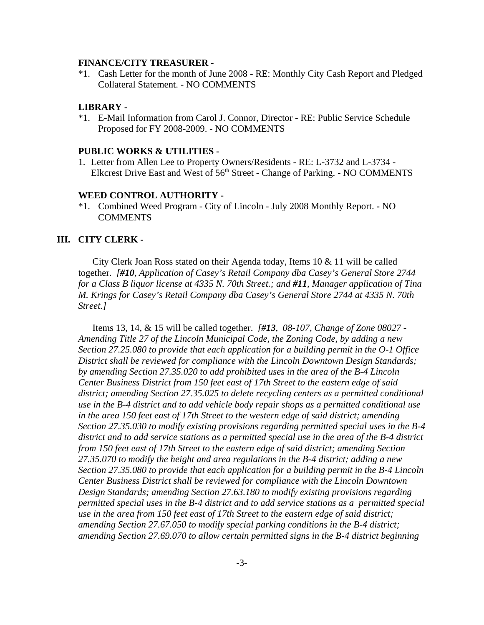#### **FINANCE/CITY TREASURER -**

\*1. Cash Letter for the month of June 2008 - RE: Monthly City Cash Report and Pledged Collateral Statement. - NO COMMENTS

#### **LIBRARY -**

\*1. E-Mail Information from Carol J. Connor, Director - RE: Public Service Schedule Proposed for FY 2008-2009. - NO COMMENTS

#### **PUBLIC WORKS & UTILITIES -**

1. Letter from Allen Lee to Property Owners/Residents - RE: L-3732 and L-3734 - Elkcrest Drive East and West of  $56<sup>th</sup>$  Street - Change of Parking. - NO COMMENTS

#### **WEED CONTROL AUTHORITY -**

\*1. Combined Weed Program - City of Lincoln - July 2008 Monthly Report. **-** NO COMMENTS

#### **III. CITY CLERK -**

City Clerk Joan Ross stated on their Agenda today, Items 10 & 11 will be called together. *[#10, Application of Casey's Retail Company dba Casey's General Store 2744 for a Class B liquor license at 4335 N. 70th Street.; and #11, Manager application of Tina M. Krings for Casey's Retail Company dba Casey's General Store 2744 at 4335 N. 70th Street.]*

Items 13, 14, & 15 will be called together. *[#13, 08-107, Change of Zone 08027 - Amending Title 27 of the Lincoln Municipal Code, the Zoning Code, by adding a new Section 27.25.080 to provide that each application for a building permit in the O-1 Office District shall be reviewed for compliance with the Lincoln Downtown Design Standards; by amending Section 27.35.020 to add prohibited uses in the area of the B-4 Lincoln Center Business District from 150 feet east of 17th Street to the eastern edge of said district; amending Section 27.35.025 to delete recycling centers as a permitted conditional use in the B-4 district and to add vehicle body repair shops as a permitted conditional use in the area 150 feet east of 17th Street to the western edge of said district; amending Section 27.35.030 to modify existing provisions regarding permitted special uses in the B-4 district and to add service stations as a permitted special use in the area of the B-4 district from 150 feet east of 17th Street to the eastern edge of said district; amending Section 27.35.070 to modify the height and area regulations in the B-4 district; adding a new Section 27.35.080 to provide that each application for a building permit in the B-4 Lincoln Center Business District shall be reviewed for compliance with the Lincoln Downtown Design Standards; amending Section 27.63.180 to modify existing provisions regarding permitted special uses in the B-4 district and to add service stations as a permitted special use in the area from 150 feet east of 17th Street to the eastern edge of said district; amending Section 27.67.050 to modify special parking conditions in the B-4 district; amending Section 27.69.070 to allow certain permitted signs in the B-4 district beginning*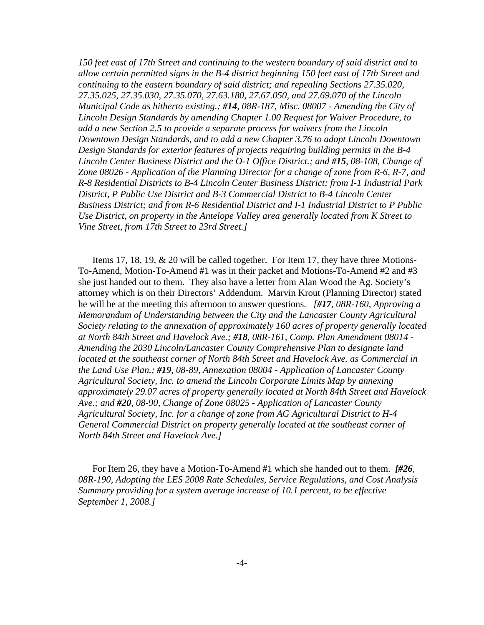*150 feet east of 17th Street and continuing to the western boundary of said district and to allow certain permitted signs in the B-4 district beginning 150 feet east of 17th Street and continuing to the eastern boundary of said district; and repealing Sections 27.35.020, 27.35.025, 27.35.030, 27.35.070, 27.63.180, 27.67.050, and 27.69.070 of the Lincoln Municipal Code as hitherto existing.; #14, 08R-187, Misc. 08007 - Amending the City of Lincoln Design Standards by amending Chapter 1.00 Request for Waiver Procedure, to add a new Section 2.5 to provide a separate process for waivers from the Lincoln Downtown Design Standards, and to add a new Chapter 3.76 to adopt Lincoln Downtown Design Standards for exterior features of projects requiring building permits in the B-4 Lincoln Center Business District and the O-1 Office District.; and #15, 08-108, Change of Zone 08026 - Application of the Planning Director for a change of zone from R-6, R-7, and R-8 Residential Districts to B-4 Lincoln Center Business District; from I-1 Industrial Park District, P Public Use District and B-3 Commercial District to B-4 Lincoln Center Business District; and from R-6 Residential District and I-1 Industrial District to P Public Use District, on property in the Antelope Valley area generally located from K Street to Vine Street, from 17th Street to 23rd Street.]* 

Items 17, 18, 19, & 20 will be called together. For Item 17, they have three Motions-To-Amend, Motion-To-Amend #1 was in their packet and Motions-To-Amend #2 and #3 she just handed out to them. They also have a letter from Alan Wood the Ag. Society's attorney which is on their Directors' Addendum. Marvin Krout (Planning Director) stated he will be at the meeting this afternoon to answer questions. *[#17, 08R-160, Approving a Memorandum of Understanding between the City and the Lancaster County Agricultural Society relating to the annexation of approximately 160 acres of property generally located at North 84th Street and Havelock Ave.; #18, 08R-161, Comp. Plan Amendment 08014 - Amending the 2030 Lincoln/Lancaster County Comprehensive Plan to designate land located at the southeast corner of North 84th Street and Havelock Ave. as Commercial in the Land Use Plan.; #19, 08-89, Annexation 08004 - Application of Lancaster County Agricultural Society, Inc. to amend the Lincoln Corporate Limits Map by annexing approximately 29.07 acres of property generally located at North 84th Street and Havelock Ave.; and #20, 08-90, Change of Zone 08025 - Application of Lancaster County Agricultural Society, Inc. for a change of zone from AG Agricultural District to H-4 General Commercial District on property generally located at the southeast corner of North 84th Street and Havelock Ave.]* 

For Item 26, they have a Motion-To-Amend #1 which she handed out to them. *[#26, 08R-190, Adopting the LES 2008 Rate Schedules, Service Regulations, and Cost Analysis Summary providing for a system average increase of 10.1 percent, to be effective September 1, 2008.]*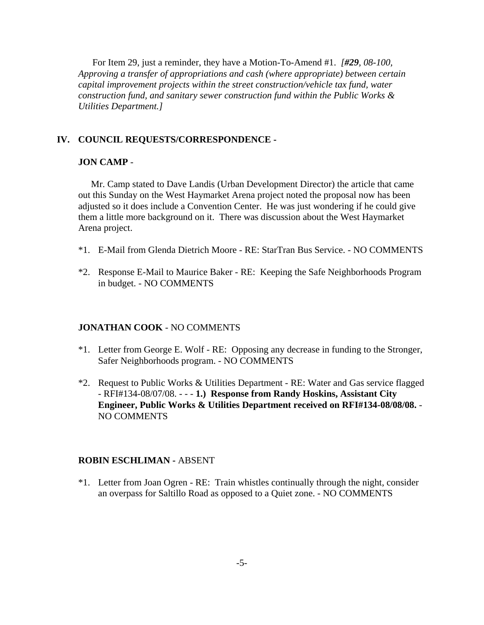For Item 29, just a reminder, they have a Motion-To-Amend #1. *[#29, 08-100, Approving a transfer of appropriations and cash (where appropriate) between certain capital improvement projects within the street construction/vehicle tax fund, water construction fund, and sanitary sewer construction fund within the Public Works & Utilities Department.]* 

### **IV. COUNCIL REQUESTS/CORRESPONDENCE -**

### **JON CAMP** -

Mr. Camp stated to Dave Landis (Urban Development Director) the article that came out this Sunday on the West Haymarket Arena project noted the proposal now has been adjusted so it does include a Convention Center. He was just wondering if he could give them a little more background on it. There was discussion about the West Haymarket Arena project.

- \*1. E-Mail from Glenda Dietrich Moore RE: StarTran Bus Service. NO COMMENTS
- \*2. Response E-Mail to Maurice Baker RE: Keeping the Safe Neighborhoods Program in budget. - NO COMMENTS

#### **JONATHAN COOK** - NO COMMENTS

- \*1. Letter from George E. Wolf RE: Opposing any decrease in funding to the Stronger, Safer Neighborhoods program. - NO COMMENTS
- \*2. Request to Public Works & Utilities Department RE: Water and Gas service flagged - RFI#134-08/07/08. - - - **1.) Response from Randy Hoskins, Assistant City Engineer, Public Works & Utilities Department received on RFI#134-08/08/08.** - NO COMMENTS

#### **ROBIN ESCHLIMAN -** ABSENT

\*1. Letter from Joan Ogren - RE: Train whistles continually through the night, consider an overpass for Saltillo Road as opposed to a Quiet zone. - NO COMMENTS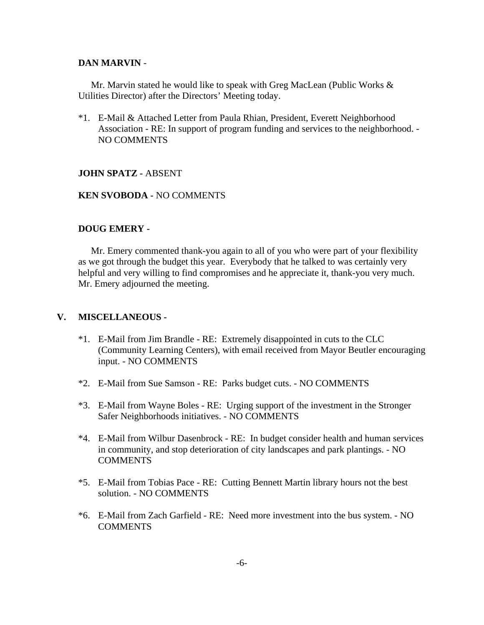### **DAN MARVIN** -

Mr. Marvin stated he would like to speak with Greg MacLean (Public Works & Utilities Director) after the Directors' Meeting today.

\*1. E-Mail & Attached Letter from Paula Rhian, President, Everett Neighborhood Association - RE: In support of program funding and services to the neighborhood. - NO COMMENTS

### **JOHN SPATZ -** ABSENT

## **KEN SVOBODA -** NO COMMENTS

### **DOUG EMERY -**

Mr. Emery commented thank-you again to all of you who were part of your flexibility as we got through the budget this year. Everybody that he talked to was certainly very helpful and very willing to find compromises and he appreciate it, thank-you very much. Mr. Emery adjourned the meeting.

## **V. MISCELLANEOUS -**

- \*1. E-Mail from Jim Brandle RE: Extremely disappointed in cuts to the CLC (Community Learning Centers), with email received from Mayor Beutler encouraging input. - NO COMMENTS
- \*2. E-Mail from Sue Samson RE: Parks budget cuts. NO COMMENTS
- \*3. E-Mail from Wayne Boles RE: Urging support of the investment in the Stronger Safer Neighborhoods initiatives. - NO COMMENTS
- \*4. E-Mail from Wilbur Dasenbrock RE: In budget consider health and human services in community, and stop deterioration of city landscapes and park plantings. - NO **COMMENTS**
- \*5. E-Mail from Tobias Pace RE: Cutting Bennett Martin library hours not the best solution. - NO COMMENTS
- \*6. E-Mail from Zach Garfield RE: Need more investment into the bus system. NO **COMMENTS**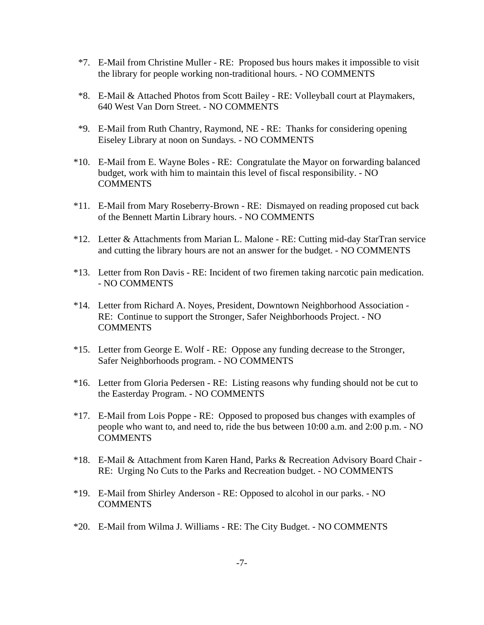- \*7. E-Mail from Christine Muller RE: Proposed bus hours makes it impossible to visit the library for people working non-traditional hours. - NO COMMENTS
- \*8. E-Mail & Attached Photos from Scott Bailey RE: Volleyball court at Playmakers, 640 West Van Dorn Street. - NO COMMENTS
- \*9. E-Mail from Ruth Chantry, Raymond, NE RE: Thanks for considering opening Eiseley Library at noon on Sundays. - NO COMMENTS
- \*10. E-Mail from E. Wayne Boles RE: Congratulate the Mayor on forwarding balanced budget, work with him to maintain this level of fiscal responsibility. - NO COMMENTS
- \*11. E-Mail from Mary Roseberry-Brown RE: Dismayed on reading proposed cut back of the Bennett Martin Library hours. - NO COMMENTS
- \*12. Letter & Attachments from Marian L. Malone RE: Cutting mid-day StarTran service and cutting the library hours are not an answer for the budget. - NO COMMENTS
- \*13. Letter from Ron Davis RE: Incident of two firemen taking narcotic pain medication. - NO COMMENTS
- \*14. Letter from Richard A. Noyes, President, Downtown Neighborhood Association RE: Continue to support the Stronger, Safer Neighborhoods Project. - NO **COMMENTS**
- \*15. Letter from George E. Wolf RE: Oppose any funding decrease to the Stronger, Safer Neighborhoods program. - NO COMMENTS
- \*16. Letter from Gloria Pedersen RE: Listing reasons why funding should not be cut to the Easterday Program. - NO COMMENTS
- \*17. E-Mail from Lois Poppe RE: Opposed to proposed bus changes with examples of people who want to, and need to, ride the bus between 10:00 a.m. and 2:00 p.m. - NO **COMMENTS**
- \*18. E-Mail & Attachment from Karen Hand, Parks & Recreation Advisory Board Chair RE: Urging No Cuts to the Parks and Recreation budget. - NO COMMENTS
- \*19. E-Mail from Shirley Anderson RE: Opposed to alcohol in our parks. NO **COMMENTS**
- \*20. E-Mail from Wilma J. Williams RE: The City Budget. NO COMMENTS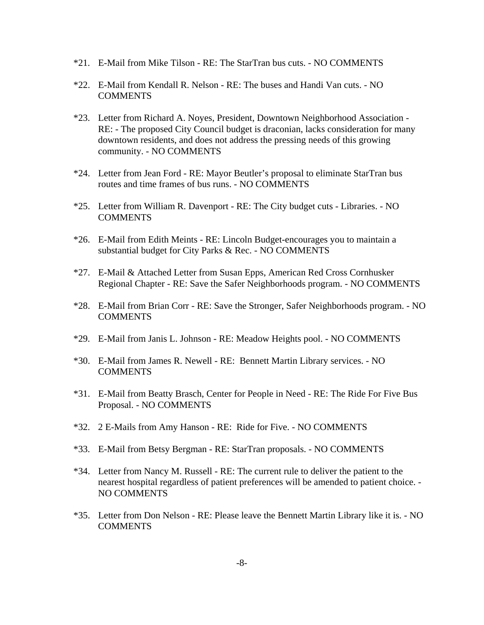- \*21. E-Mail from Mike Tilson RE: The StarTran bus cuts. NO COMMENTS
- \*22. E-Mail from Kendall R. Nelson RE: The buses and Handi Van cuts. NO **COMMENTS**
- \*23. Letter from Richard A. Noyes, President, Downtown Neighborhood Association RE: - The proposed City Council budget is draconian, lacks consideration for many downtown residents, and does not address the pressing needs of this growing community. - NO COMMENTS
- \*24. Letter from Jean Ford RE: Mayor Beutler's proposal to eliminate StarTran bus routes and time frames of bus runs. - NO COMMENTS
- \*25. Letter from William R. Davenport RE: The City budget cuts Libraries. NO **COMMENTS**
- \*26. E-Mail from Edith Meints RE: Lincoln Budget-encourages you to maintain a substantial budget for City Parks & Rec. - NO COMMENTS
- \*27. E-Mail & Attached Letter from Susan Epps, American Red Cross Cornhusker Regional Chapter - RE: Save the Safer Neighborhoods program. - NO COMMENTS
- \*28. E-Mail from Brian Corr RE: Save the Stronger, Safer Neighborhoods program. NO COMMENTS
- \*29. E-Mail from Janis L. Johnson RE: Meadow Heights pool. NO COMMENTS
- \*30. E-Mail from James R. Newell RE: Bennett Martin Library services. NO COMMENTS
- \*31. E-Mail from Beatty Brasch, Center for People in Need RE: The Ride For Five Bus Proposal. - NO COMMENTS
- \*32. 2 E-Mails from Amy Hanson RE: Ride for Five. NO COMMENTS
- \*33. E-Mail from Betsy Bergman RE: StarTran proposals. NO COMMENTS
- \*34. Letter from Nancy M. Russell RE: The current rule to deliver the patient to the nearest hospital regardless of patient preferences will be amended to patient choice. - NO COMMENTS
- \*35. Letter from Don Nelson RE: Please leave the Bennett Martin Library like it is. NO **COMMENTS**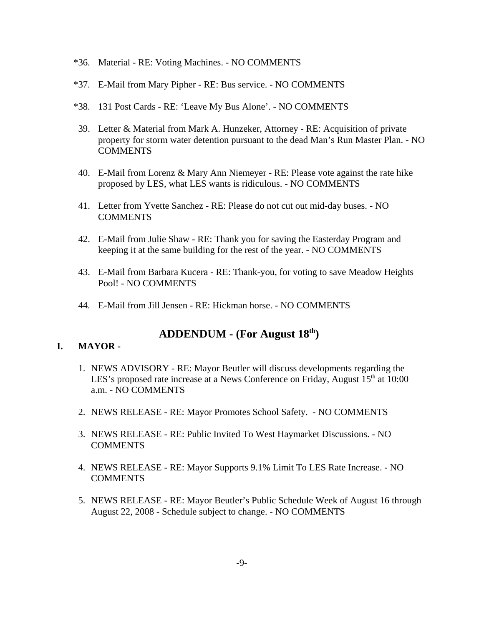- \*36. Material RE: Voting Machines. NO COMMENTS
- \*37. E-Mail from Mary Pipher RE: Bus service. NO COMMENTS
- \*38. 131 Post Cards RE: 'Leave My Bus Alone'. NO COMMENTS
- 39. Letter & Material from Mark A. Hunzeker, Attorney RE: Acquisition of private property for storm water detention pursuant to the dead Man's Run Master Plan. - NO **COMMENTS**
- 40. E-Mail from Lorenz & Mary Ann Niemeyer RE: Please vote against the rate hike proposed by LES, what LES wants is ridiculous. - NO COMMENTS
- 41. Letter from Yvette Sanchez RE: Please do not cut out mid-day buses. NO COMMENTS
- 42. E-Mail from Julie Shaw RE: Thank you for saving the Easterday Program and keeping it at the same building for the rest of the year. - NO COMMENTS
- 43. E-Mail from Barbara Kucera RE: Thank-you, for voting to save Meadow Heights Pool! - NO COMMENTS
- 44. E-Mail from Jill Jensen RE: Hickman horse. NO COMMENTS

# **ADDENDUM - (For August 18th)**

### **I. MAYOR -**

- 1. NEWS ADVISORY RE: Mayor Beutler will discuss developments regarding the LES's proposed rate increase at a News Conference on Friday, August  $15<sup>th</sup>$  at  $10:00$ a.m. - NO COMMENTS
- 2. NEWS RELEASE RE: Mayor Promotes School Safety. NO COMMENTS
- 3. NEWS RELEASE RE: Public Invited To West Haymarket Discussions. NO COMMENTS
- 4. NEWS RELEASE RE: Mayor Supports 9.1% Limit To LES Rate Increase. NO COMMENTS
- 5. NEWS RELEASE RE: Mayor Beutler's Public Schedule Week of August 16 through August 22, 2008 - Schedule subject to change. - NO COMMENTS